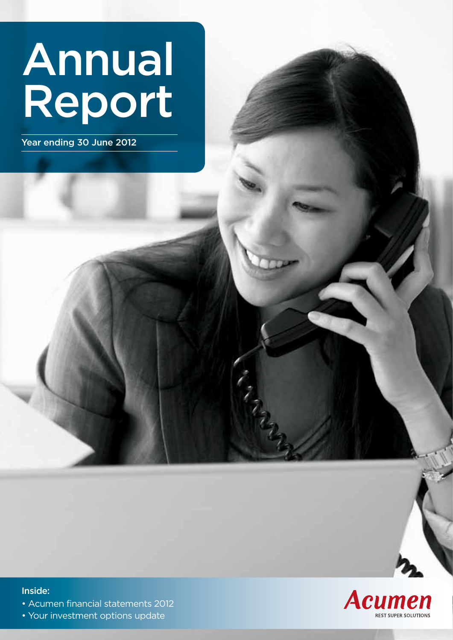# Annual Report

Year ending 30 June 2012



### Inside:

- Acumen financial statements 2012
- Your investment options update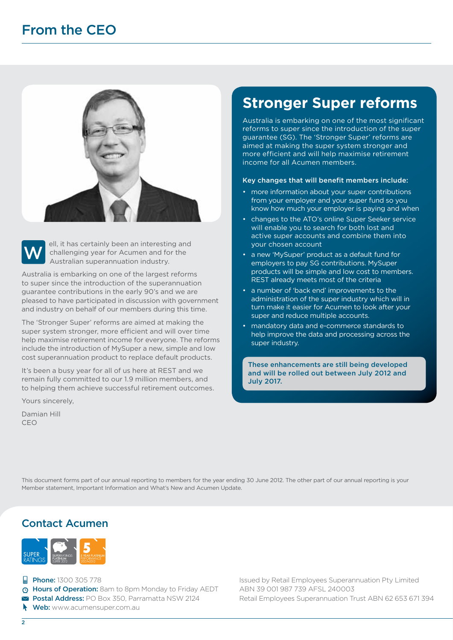



ell, it has certainly been an interesting and challenging year for Acumen and for the Australian superannuation industry.

Australia is embarking on one of the largest reforms to super since the introduction of the superannuation guarantee contributions in the early 90's and we are pleased to have participated in discussion with government and industry on behalf of our members during this time.

The 'Stronger Super' reforms are aimed at making the super system stronger, more efficient and will over time help maximise retirement income for everyone. The reforms include the introduction of MySuper a new, simple and low cost superannuation product to replace default products.

It's been a busy year for all of us here at REST and we remain fully committed to our 1.9 million members, and to helping them achieve successful retirement outcomes.

Yours sincerely,

Damian Hill CEO

### **Stronger Super reforms**

Australia is embarking on one of the most significant reforms to super since the introduction of the super guarantee (SG). The 'Stronger Super' reforms are aimed at making the super system stronger and more efficient and will help maximise retirement income for all Acumen members.

### Key changes that will benefit members include:

- more information about your super contributions from your employer and your super fund so you know how much your employer is paying and when
- changes to the ATO's online Super Seeker service will enable you to search for both lost and active super accounts and combine them into your chosen account
- a new 'MySuper' product as a default fund for employers to pay SG contributions. MySuper products will be simple and low cost to members. REST already meets most of the criteria
- a number of 'back end' improvements to the administration of the super industry which will in turn make it easier for Acumen to look after your super and reduce multiple accounts.
- mandatory data and e-commerce standards to help improve the data and processing across the super industry.

These enhancements are still being developed and will be rolled out between July 2012 and July 2017.

This document forms part of our annual reporting to members for the year ending 30 June 2012. The other part of our annual reporting is your Member statement, Important Information and What's New and Acumen Update.

### Contact Acumen



- $\Box$  Phone: 1300 305 778
- Hours of Operation: 8am to 8pm Monday to Friday AEDT
- **Postal Address: PO Box 350, Parramatta NSW 2124**
- Web: www.acumensuper.com.au

Issued by Retail Employees Superannuation Pty Limited ABN 39 001 987 739 AFSL 240003 Retail Employees Superannuation Trust ABN 62 653 671 394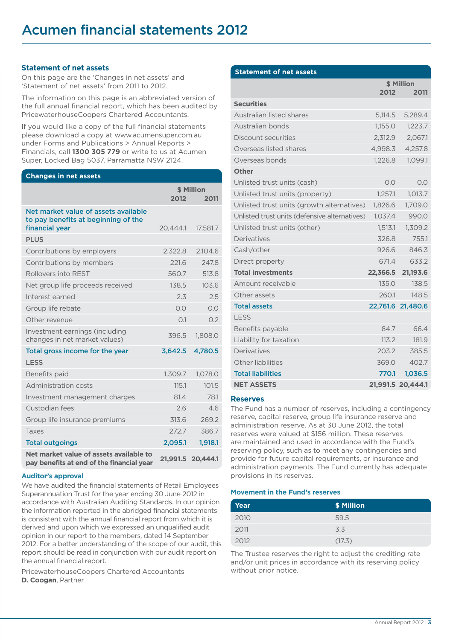### **Statement of net assets**

On this page are the 'Changes in net assets' and 'Statement of net assets' from 2011 to 2012.

The information on this page is an abbreviated version of the full annual financial report, which has been audited by PricewaterhouseCoopers Chartered Accountants.

If you would like a copy of the full financial statements please download a copy at www.acumensuper.com.au under Forms and Publications > Annual Reports > Financials, call **1300 305 779** or write to us at Acumen Super, Locked Bag 5037, Parramatta NSW 2124.

### **Changes in net assets**

|                                                                                               | \$ Million<br>2012<br>2011 |          |  |  |
|-----------------------------------------------------------------------------------------------|----------------------------|----------|--|--|
| Net market value of assets available<br>to pay benefits at beginning of the<br>financial year | 20,444.1                   | 17,581.7 |  |  |
| <b>PLUS</b>                                                                                   |                            |          |  |  |
| Contributions by employers                                                                    | 2.322.8                    | 2,104.6  |  |  |
| Contributions by members                                                                      | 221.6                      | 247.8    |  |  |
| Rollovers into RFST                                                                           | 560.7                      | 513.8    |  |  |
| Net group life proceeds received                                                              | 138.5                      | 103.6    |  |  |
| Interest earned                                                                               | 2.3                        | 2.5      |  |  |
| Group life rebate                                                                             | 0.0                        | O.O      |  |  |
| Other revenue                                                                                 | O.1                        | 0.2      |  |  |
| Investment earnings (including<br>changes in net market values)                               | 396.5                      | 1,808.0  |  |  |
| Total gross income for the year                                                               | 3,642.5                    | 4,780.5  |  |  |
| <b>LESS</b>                                                                                   |                            |          |  |  |
| Benefits paid                                                                                 | 1.309.7                    | 1.078.0  |  |  |
| Administration costs                                                                          | 115.1                      | 101.5    |  |  |
| Investment management charges                                                                 | 81.4                       | 78.1     |  |  |
| Custodian fees                                                                                | 2.6                        | 4.6      |  |  |
| Group life insurance premiums                                                                 | 313.6                      | 269.2    |  |  |
| Taxes                                                                                         | 272.7                      | 386.7    |  |  |
| <b>Total outgoings</b>                                                                        | 2,095.1                    | 1.918.1  |  |  |
| Net market value of assets available to<br>pay benefits at end of the financial year          | 21,991.5                   | 20.444.1 |  |  |

#### **Auditor's approval**

We have audited the financial statements of Retail Employees Superannuation Trust for the year ending 30 June 2012 in accordance with Australian Auditing Standards. In our opinion the information reported in the abridged financial statements is consistent with the annual financial report from which it is derived and upon which we expressed an unqualified audit opinion in our report to the members, dated 14 September 2012. For a better understanding of the scope of our audit, this report should be read in conjunction with our audit report on the annual financial report.

PricewaterhouseCoopers Chartered Accountants **D. Coogan**, Partner

| <b>Statement of net assets</b>                |            |                   |  |  |
|-----------------------------------------------|------------|-------------------|--|--|
|                                               | \$ Million |                   |  |  |
|                                               | 2012       | 2011              |  |  |
| <b>Securities</b>                             |            |                   |  |  |
| Australian listed shares                      | 5.114.5    | 5.289.4           |  |  |
| Australian bonds                              | 1,155.0    | 1,223.7           |  |  |
| Discount securities                           | 2,312.9    | 2,067.1           |  |  |
| Overseas listed shares                        | 4,998.3    | 4,257.8           |  |  |
| Overseas bonds                                | 1.226.8    | 1,099.1           |  |  |
| Other                                         |            |                   |  |  |
| Unlisted trust units (cash)                   | O.O        | 0.0               |  |  |
| Unlisted trust units (property)               | 1.257.1    | 1.013.7           |  |  |
| Unlisted trust units (growth alternatives)    | 1,826.6    | 1,709.0           |  |  |
| Unlisted trust units (defensive alternatives) | 1,037.4    | 990.0             |  |  |
| Unlisted trust units (other)                  | 1,513.1    | 1,309.2           |  |  |
| Derivatives                                   | 326.8      | 755.1             |  |  |
| Cash/other                                    | 926.6      | 846.3             |  |  |
| Direct property                               | 671.4      | 633.2             |  |  |
| <b>Total investments</b>                      | 22,366.5   | 21,193.6          |  |  |
| Amount receivable                             | 135.0      | 138.5             |  |  |
| Other assets                                  | 260.1      | 148.5             |  |  |
| <b>Total assets</b>                           | 22,761.6   | 21,480.6          |  |  |
| <b>LESS</b>                                   |            |                   |  |  |
| Benefits payable                              | 84.7       | 66.4              |  |  |
| Liability for taxation                        | 113.2      | 181.9             |  |  |
| Derivatives                                   | 203.2      | 385.5             |  |  |
| Other liabilities                             | 369.0      | 402.7             |  |  |
| <b>Total liabilities</b>                      | 770.1      | 1,036.5           |  |  |
| <b>NET ASSETS</b>                             |            | 21,991.5 20,444.1 |  |  |

### **Reserves**

The Fund has a number of reserves, including a contingency reserve, capital reserve, group life insurance reserve and administration reserve. As at 30 June 2012, the total reserves were valued at \$156 million. These reserves are maintained and used in accordance with the Fund's reserving policy, such as to meet any contingencies and provide for future capital requirements, or insurance and administration payments. The Fund currently has adequate provisions in its reserves.

#### **Movement in the Fund's reserves**

| Year | \$ Million |
|------|------------|
| 2010 | 59.5       |
| 2011 | 3.3        |
| 2012 | (17.3)     |

The Trustee reserves the right to adjust the crediting rate and/or unit prices in accordance with its reserving policy without prior notice.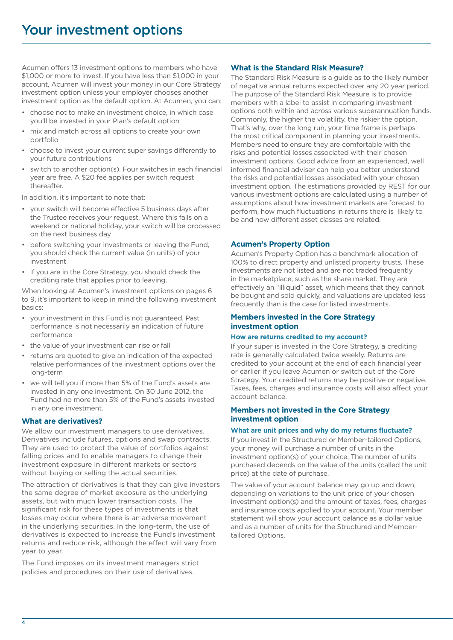Acumen offers 13 investment options to members who have \$1,000 or more to invest. If you have less than \$1,000 in your account, Acumen will invest your money in our Core Strategy investment option unless your employer chooses another investment option as the default option. At Acumen, you can:

- choose not to make an investment choice, in which case you'll be invested in your Plan's default option
- mix and match across all options to create your own portfolio
- choose to invest your current super savings differently to your future contributions
- switch to another option(s). Four switches in each financial year are free. A \$20 fee applies per switch request thereafter.

In addition, it's important to note that:

- your switch will become effective 5 business days after the Trustee receives your request. Where this falls on a weekend or national holiday, your switch will be processed on the next business day
- before switching your investments or leaving the Fund, you should check the current value (in units) of your investment
- if you are in the Core Strategy, you should check the crediting rate that applies prior to leaving.

When looking at Acumen's investment options on pages 6 to 9, it's important to keep in mind the following investment basics:

- your investment in this Fund is not guaranteed. Past performance is not necessarily an indication of future performance
- the value of your investment can rise or fall
- returns are quoted to give an indication of the expected relative performances of the investment options over the long-term
- we will tell you if more than 5% of the Fund's assets are invested in any one investment. On 30 June 2012, the Fund had no more than 5% of the Fund's assets invested in any one investment.

### **What are derivatives?**

We allow our investment managers to use derivatives. Derivatives include futures, options and swap contracts. They are used to protect the value of portfolios against falling prices and to enable managers to change their investment exposure in different markets or sectors without buying or selling the actual securities.

The attraction of derivatives is that they can give investors the same degree of market exposure as the underlying assets, but with much lower transaction costs. The significant risk for these types of investments is that losses may occur where there is an adverse movement in the underlying securities. In the long-term, the use of derivatives is expected to increase the Fund's investment returns and reduce risk, although the effect will vary from year to year.

The Fund imposes on its investment managers strict policies and procedures on their use of derivatives.

### **What is the Standard Risk Measure?**

The Standard Risk Measure is a guide as to the likely number of negative annual returns expected over any 20 year period. The purpose of the Standard Risk Measure is to provide members with a label to assist in comparing investment options both within and across various superannuation funds. Commonly, the higher the volatility, the riskier the option. That's why, over the long run, your time frame is perhaps the most critical component in planning your investments. Members need to ensure they are comfortable with the risks and potential losses associated with their chosen investment options. Good advice from an experienced, well informed financial adviser can help you better understand the risks and potential losses associated with your chosen investment option. The estimations provided by REST for our various investment options are calculated using a number of assumptions about how investment markets are forecast to perform, how much fluctuations in returns there is likely to be and how different asset classes are related.

### **Acumen's Property Option**

Acumen's Property Option has a benchmark allocation of 100% to direct property and unlisted property trusts. These investments are not listed and are not traded frequently in the marketplace, such as the share market. They are effectively an "illiquid" asset, which means that they cannot be bought and sold quickly, and valuations are updated less frequently than is the case for listed investments.

### **Members invested in the Core Strategy investment option**

### **How are returns credited to my account?**

If your super is invested in the Core Strategy, a crediting rate is generally calculated twice weekly. Returns are credited to your account at the end of each financial year or earlier if you leave Acumen or switch out of the Core Strategy. Your credited returns may be positive or negative. Taxes, fees, charges and insurance costs will also affect your account balance.

### **Members not invested in the Core Strategy investment option**

### **What are unit prices and why do my returns fluctuate?**

If you invest in the Structured or Member-tailored Options, your money will purchase a number of units in the investment option(s) of your choice. The number of units purchased depends on the value of the units (called the unit price) at the date of purchase.

The value of your account balance may go up and down, depending on variations to the unit price of your chosen investment option(s) and the amount of taxes, fees, charges and insurance costs applied to your account. Your member statement will show your account balance as a dollar value and as a number of units for the Structured and Membertailored Options.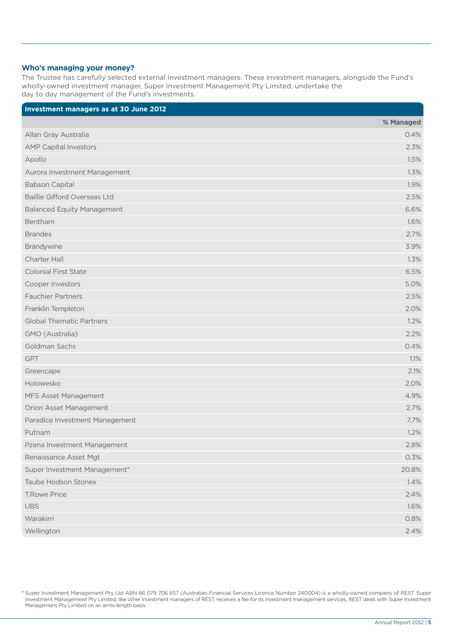### **Who's managing your money?**

The Trustee has carefully selected external investment managers. These investment managers, alongside the Fund's wholly-owned investment manager, Super Investment Management Pty Limited, undertake the day to day management of the Fund's investments.

| Investment managers as at 30 June 2012 |           |
|----------------------------------------|-----------|
|                                        | % Managed |
| Allan Gray Australia                   | 0.4%      |
| <b>AMP Capital Investors</b>           | 2.3%      |
| Apollo                                 | 1.5%      |
| Aurora Investment Management           | 1.3%      |
| <b>Babson Capital</b>                  | 1.9%      |
| <b>Baillie Gifford Overseas Ltd</b>    | 2.5%      |
| <b>Balanced Equity Management</b>      | 6.6%      |
| Bentham                                | 1.6%      |
| <b>Brandes</b>                         | 2.7%      |
| Brandywine                             | 3.9%      |
| Charter Hall                           | 1.3%      |
| <b>Colonial First State</b>            | 6.5%      |
| Cooper Investors                       | 5.0%      |
| <b>Fauchier Partners</b>               | 2.5%      |
| Franklin Templeton                     | 2.0%      |
| <b>Global Thematic Partners</b>        | 1.2%      |
| GMO (Australia)                        | 2.2%      |
| Goldman Sachs                          | 0.4%      |
| GPT                                    | 1.1%      |
| Greencape                              | 2.1%      |
| Holowesko                              | 2.0%      |
| MFS Asset Management                   | 4.9%      |
| Orion Asset Management                 | 2.7%      |
| Paradice Investment Management         | 7.7%      |
| Putnam                                 | 1.2%      |
| Pzena Investment Management            | 2.8%      |
| Renaissance Asset Mgt                  | 0.3%      |
| Super Investment Management*           | 20.8%     |
| <b>Taube Hodson Stonex</b>             | 1.4%      |
| <b>T.Rowe Price</b>                    | 2.4%      |
| <b>UBS</b>                             | 1.6%      |
| Warakirri                              | 0.8%      |
| Wellington                             | 2.4%      |

\* Super Investment Management Pty Ltd ABN 86 079 706 657 (Australian Financial Services Licence Number 240004) is a wholly-owned company of REST. Super Investment Management Pty Limited, like other investment managers of REST, receives a fee for its investment management services, REST deals with Super Investment Management Pty Limited on an arms-length basis.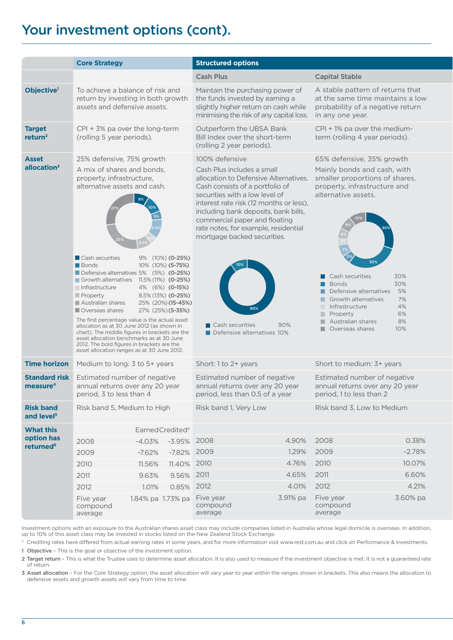### Your investment options (cont).

|                                              | <b>Core Strategy</b>                                                                                                                                                                                                                                                                                                                                                                                                                                                                                                                                                                                                                                                                                        |                              |                                             | <b>Structured options</b>                                                                                                                                                                                                                                                                                                                                                                                                    |            |                                                                                                                                                                                                                                                                                                                                                                                                   |          |  |
|----------------------------------------------|-------------------------------------------------------------------------------------------------------------------------------------------------------------------------------------------------------------------------------------------------------------------------------------------------------------------------------------------------------------------------------------------------------------------------------------------------------------------------------------------------------------------------------------------------------------------------------------------------------------------------------------------------------------------------------------------------------------|------------------------------|---------------------------------------------|------------------------------------------------------------------------------------------------------------------------------------------------------------------------------------------------------------------------------------------------------------------------------------------------------------------------------------------------------------------------------------------------------------------------------|------------|---------------------------------------------------------------------------------------------------------------------------------------------------------------------------------------------------------------------------------------------------------------------------------------------------------------------------------------------------------------------------------------------------|----------|--|
|                                              |                                                                                                                                                                                                                                                                                                                                                                                                                                                                                                                                                                                                                                                                                                             |                              |                                             | <b>Cash Plus</b>                                                                                                                                                                                                                                                                                                                                                                                                             |            | <b>Capital Stable</b>                                                                                                                                                                                                                                                                                                                                                                             |          |  |
| Objective <sup>1</sup>                       | To achieve a balance of risk and<br>Maintain the purchasing power of<br>A stable pattern of returns that<br>the funds invested by earning a<br>return by investing in both growth<br>at the same time maintains a low<br>assets and defensive assets.<br>slightly higher return on cash while<br>probability of a negative return<br>minimising the risk of any capital loss.<br>in any one year.                                                                                                                                                                                                                                                                                                           |                              |                                             |                                                                                                                                                                                                                                                                                                                                                                                                                              |            |                                                                                                                                                                                                                                                                                                                                                                                                   |          |  |
| <b>Target</b><br>return <sup>2</sup>         | $CPI + 3%$ pa over the long-term<br>(rolling 5 year periods).                                                                                                                                                                                                                                                                                                                                                                                                                                                                                                                                                                                                                                               |                              |                                             | Outperform the UBSA Bank<br>Bill Index over the short-term<br>(rolling 2 year periods).                                                                                                                                                                                                                                                                                                                                      |            | CPI + 1% pa over the medium-<br>term (rolling 4 year periods).                                                                                                                                                                                                                                                                                                                                    |          |  |
| <b>Asset</b><br>allocation <sup>3</sup>      | 25% defensive, 75% growth<br>A mix of shares and bonds,<br>property, infrastructure,<br>alternative assets and cash.<br><b>Cash securities</b><br>9% (10%) (0-25%)<br>Bonds<br>10% (10%) (5-75%)<br>Defensive alternatives 5% (5%) (0-25%)<br>Growth alternatives 11.5% (11%) (0-25%)<br>Infrastructure<br>4% (6%) (0-15%)<br>$\blacksquare$ Property<br>8.5% (13%) (0-25%)<br>Australian shares<br>25% (20%) (15-45%)<br>Overseas shares<br>27% (25%) (5-35%)<br>The first percentage value is the actual asset<br>allocation as at 30 June 2012 (as shown in<br>chart). The middle figures in brackets are the<br>asset allocation benchmarks as at 30 June<br>2012. The bold figures in brackets are the |                              | asset allocation ranges as at 30 June 2012. | 100% defensive<br>Cash Plus includes a small<br>allocation to Defensive Alternatives.<br>Cash consists of a portfolio of<br>securities with a low level of<br>interest rate risk (12 months or less),<br>including bank deposits, bank bills,<br>commercial paper and floating<br>rate notes, for example, residential<br>mortgage backed securities.<br>90%<br>$\blacksquare$ Cash securities<br>Defensive alternatives 10% |            | 65% defensive, 35% growth<br>Mainly bonds and cash, with<br>smaller proportions of shares,<br>property, infrastructure and<br>alternative assets.<br>30%<br>$\blacksquare$ Cash securities<br>30%<br>Bonds<br>Defensive alternatives 5%<br>Growth alternatives<br>7%<br>4%<br>Infrastructure<br>6%<br>$\blacksquare$ Property<br>Australian shares<br>8%<br>10%<br>$\blacksquare$ Overseas shares |          |  |
| <b>Time horizon</b>                          | Medium to long: 3 to 5+ years                                                                                                                                                                                                                                                                                                                                                                                                                                                                                                                                                                                                                                                                               |                              |                                             | Short: 1 to 2+ years                                                                                                                                                                                                                                                                                                                                                                                                         |            | Short to medium: 3+ years                                                                                                                                                                                                                                                                                                                                                                         |          |  |
| <b>Standard risk</b><br>measure <sup>4</sup> | Estimated number of negative<br>annual returns over any 20 year<br>period, 3 to less than 4                                                                                                                                                                                                                                                                                                                                                                                                                                                                                                                                                                                                                 |                              |                                             | Estimated number of negative<br>annual returns over any 20 year<br>period, less than 0.5 of a year                                                                                                                                                                                                                                                                                                                           |            | Estimated number of negative<br>annual returns over any 20 year<br>period, 1 to less than 2                                                                                                                                                                                                                                                                                                       |          |  |
| <b>Risk band</b><br>and level <sup>5</sup>   | Risk band 5, Medium to High                                                                                                                                                                                                                                                                                                                                                                                                                                                                                                                                                                                                                                                                                 |                              |                                             | Risk band 1, Very Low                                                                                                                                                                                                                                                                                                                                                                                                        |            | Risk band 3, Low to Medium                                                                                                                                                                                                                                                                                                                                                                        |          |  |
| <b>What this</b>                             |                                                                                                                                                                                                                                                                                                                                                                                                                                                                                                                                                                                                                                                                                                             | Earned Credited <sup>+</sup> |                                             |                                                                                                                                                                                                                                                                                                                                                                                                                              |            |                                                                                                                                                                                                                                                                                                                                                                                                   |          |  |
| option has                                   | 2008                                                                                                                                                                                                                                                                                                                                                                                                                                                                                                                                                                                                                                                                                                        | -4.03% -3.95% 2008           |                                             |                                                                                                                                                                                                                                                                                                                                                                                                                              | 4.90% 2008 |                                                                                                                                                                                                                                                                                                                                                                                                   | 0.38%    |  |
| returned <sup>6</sup>                        | 2009                                                                                                                                                                                                                                                                                                                                                                                                                                                                                                                                                                                                                                                                                                        |                              | -7.62% -7.82% 2009                          |                                                                                                                                                                                                                                                                                                                                                                                                                              | 1.29% 2009 |                                                                                                                                                                                                                                                                                                                                                                                                   | $-2.78%$ |  |
|                                              | 2010                                                                                                                                                                                                                                                                                                                                                                                                                                                                                                                                                                                                                                                                                                        | 11.56%                       | 11.40% 2010                                 |                                                                                                                                                                                                                                                                                                                                                                                                                              | 4.76% 2010 |                                                                                                                                                                                                                                                                                                                                                                                                   | 10.07%   |  |
|                                              | 2011                                                                                                                                                                                                                                                                                                                                                                                                                                                                                                                                                                                                                                                                                                        |                              | 9.63% 9.56% 2011                            |                                                                                                                                                                                                                                                                                                                                                                                                                              | 4.65% 2011 |                                                                                                                                                                                                                                                                                                                                                                                                   | 6.60%    |  |
|                                              | 2012                                                                                                                                                                                                                                                                                                                                                                                                                                                                                                                                                                                                                                                                                                        |                              | 1.01%  0.85%  2012                          |                                                                                                                                                                                                                                                                                                                                                                                                                              | 4.01% 2012 |                                                                                                                                                                                                                                                                                                                                                                                                   | 4.21%    |  |
|                                              | Five year<br>compound<br>average                                                                                                                                                                                                                                                                                                                                                                                                                                                                                                                                                                                                                                                                            |                              |                                             | 1.84% pa 1.73% pa Five year<br>compound<br>average                                                                                                                                                                                                                                                                                                                                                                           |            | 3.91% pa Five year<br>compound<br>average                                                                                                                                                                                                                                                                                                                                                         | 3.60% pa |  |

Investment options with an exposure to the Australian shares asset class may include companies listed in Australia whose legal domicile is overseas. In addition, up to 10% of this asset class may be invested in stocks listed on the New Zealand Stock Exchange.

† Crediting rates have differed from actual earning rates in some years, and for more information visit www.rest.com.au and click on Performance & Investments. 1 Objective – This is the goal or objective of the investment option.

2 Target return – This is what the Trustee uses to determine asset allocation. It is also used to measure if the investment objective is met. It is not a guaranteed rate of return.

3 Asset allocation – For the Core Strategy option, the asset allocation will vary year to year within the ranges shown in brackets. This also means the allocation to defensive assets and growth assets will vary from time to time.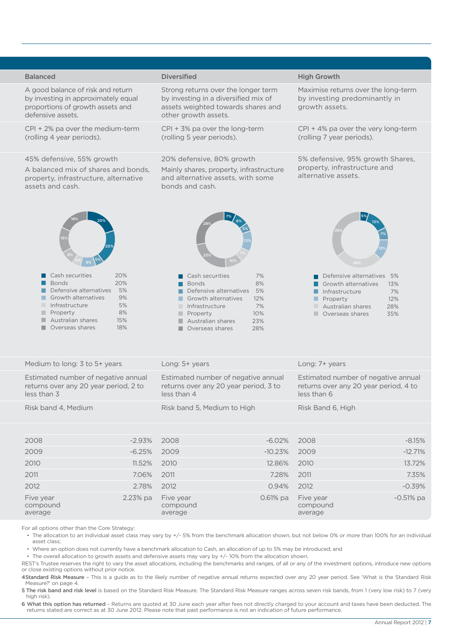| <b>Balanced</b>                                                                                                                                                                                                                                      | <b>Diversified</b>                                                                                                                                                                                                                    | <b>High Growth</b>                                                                                                                                                                                 |
|------------------------------------------------------------------------------------------------------------------------------------------------------------------------------------------------------------------------------------------------------|---------------------------------------------------------------------------------------------------------------------------------------------------------------------------------------------------------------------------------------|----------------------------------------------------------------------------------------------------------------------------------------------------------------------------------------------------|
| A good balance of risk and return<br>by investing in approximately equal<br>proportions of growth assets and<br>defensive assets.                                                                                                                    | Strong returns over the longer term<br>by investing in a diversified mix of<br>assets weighted towards shares and<br>other growth assets.                                                                                             | Maximise returns over the long-term<br>by investing predominantly in<br>growth assets.                                                                                                             |
| $CPI + 2\%$ pa over the medium-term<br>(rolling 4 year periods).                                                                                                                                                                                     | CPI + 3% pa over the long-term<br>(rolling 5 year periods).                                                                                                                                                                           | $CPI + 4%$ pa over the very long-term<br>(rolling 7 year periods).                                                                                                                                 |
| 45% defensive, 55% growth<br>A balanced mix of shares and bonds,<br>property, infrastructure, alternative<br>assets and cash.                                                                                                                        | 20% defensive, 80% growth<br>Mainly shares, property, infrastructure<br>and alternative assets, with some<br>bonds and cash.                                                                                                          | 5% defensive, 95% growth Shares,<br>property, infrastructure and<br>alternative assets.                                                                                                            |
|                                                                                                                                                                                                                                                      |                                                                                                                                                                                                                                       |                                                                                                                                                                                                    |
| $\blacksquare$ Cash securities<br>20%<br><b>Bonds</b><br>20%<br>Defensive alternatives 5%<br>$\blacksquare$ Growth alternatives<br>9%<br>Infrastructure<br>5%<br>8%<br>$\blacksquare$ Property<br>Australian shares<br>15%<br>Overseas shares<br>18% | Cash securities<br>7%<br><b>Bonds</b><br>8%<br>Defensive alternatives 5%<br>Growth alternatives<br>12%<br>Infrastructure<br>7%<br>10%<br>$\blacksquare$ Property<br>Australian shares<br>23%<br>28%<br>$\blacksquare$ Overseas shares | $\blacksquare$ Defensive alternatives 5%<br>Growth alternatives 13%<br>7%<br>$\blacksquare$ Infrastructure<br>12%<br>$\blacksquare$ Property<br>28%<br>Australian shares<br>Overseas shares<br>35% |
| Medium to long: 3 to 5+ years                                                                                                                                                                                                                        | Long: 5+ years                                                                                                                                                                                                                        | Long: 7+ years                                                                                                                                                                                     |
| Estimated number of negative annual<br>returns over any 20 year period, 2 to<br>less than 3                                                                                                                                                          | Estimated number of negative annual<br>returns over any 20 year period, 3 to<br>less than 4                                                                                                                                           | Estimated number of negative annual<br>returns over any 20 year period, 4 to<br>less than 6                                                                                                        |
| Risk band 4, Medium                                                                                                                                                                                                                                  | Risk band 5, Medium to High                                                                                                                                                                                                           | Risk Band 6, High                                                                                                                                                                                  |
|                                                                                                                                                                                                                                                      |                                                                                                                                                                                                                                       |                                                                                                                                                                                                    |
| $-2.93\%$ 2008<br>2008                                                                                                                                                                                                                               | $-6.02\%$ 2008                                                                                                                                                                                                                        | $-8.15%$                                                                                                                                                                                           |
| $-6.25\%$ 2009<br>2009                                                                                                                                                                                                                               | $-10.23\%$ 2009                                                                                                                                                                                                                       | $-12.71%$                                                                                                                                                                                          |
| 11.52% 2010<br>2010                                                                                                                                                                                                                                  | 12.86% 2010                                                                                                                                                                                                                           | 13.72%                                                                                                                                                                                             |
| 2011<br>7.06% 2011                                                                                                                                                                                                                                   |                                                                                                                                                                                                                                       | 7.35%<br>7.28% 2011                                                                                                                                                                                |
| 2012<br>2.78% 2012                                                                                                                                                                                                                                   | 0.94% 2012                                                                                                                                                                                                                            | $-0.39%$                                                                                                                                                                                           |
| Five year<br>compound<br>average                                                                                                                                                                                                                     | 2.23% pa  Five year<br>compound<br>average                                                                                                                                                                                            | 0.61% pa Five year<br>$-0.51%$ pa<br>compound<br>average                                                                                                                                           |
| For all options other than the Core Strategy:                                                                                                                                                                                                        |                                                                                                                                                                                                                                       |                                                                                                                                                                                                    |

• The allocation to an individual asset class may vary by +/- 5% from the benchmark allocation shown, but not below 0% or more than 100% for an individual asset class;

• Where an option does not currently have a benchmark allocation to Cash, an allocation of up to 5% may be introduced; and

• The overall allocation to growth assets and defensive assets may vary by +/- 10% from the allocation shown.

REST's Trustee reserves the right to vary the asset allocations, including the benchmarks and ranges, of all or any of the investment options, introduce new options or close existing options without prior notice.

4 Standard Risk Measure - This is a guide as to the likely number of negative annual returns expected over any 20 year period. See 'What is the Standard Risk Measure?' on page 4.

5 The risk band and risk level is based on the Standard Risk Measure. The Standard Risk Measure ranges across seven risk bands, from 1 (very low risk) to 7 (very high risk).

6 What this option has returned - Returns are quoted at 30 June each year after fees not directly charged to your account and taxes have been deducted. The returns stated are correct as at 30 June 2012. Please note that past performance is not an indication of future performance.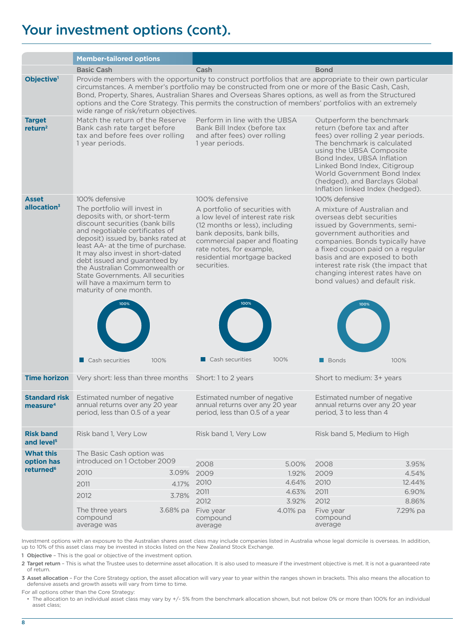### Your investment options (cont).

|                                              | <b>Member-tailored options</b>                                                                                                                                                                                                                                                                                                                                                                                                                                           |                                                                                                                                                                                                                                                |                                  |                                                                                                                                                                                                                                                                                                                             |  |
|----------------------------------------------|--------------------------------------------------------------------------------------------------------------------------------------------------------------------------------------------------------------------------------------------------------------------------------------------------------------------------------------------------------------------------------------------------------------------------------------------------------------------------|------------------------------------------------------------------------------------------------------------------------------------------------------------------------------------------------------------------------------------------------|----------------------------------|-----------------------------------------------------------------------------------------------------------------------------------------------------------------------------------------------------------------------------------------------------------------------------------------------------------------------------|--|
|                                              | <b>Basic Cash</b>                                                                                                                                                                                                                                                                                                                                                                                                                                                        | Cash                                                                                                                                                                                                                                           | <b>Bond</b>                      |                                                                                                                                                                                                                                                                                                                             |  |
| Objective <sup>1</sup>                       | Provide members with the opportunity to construct portfolios that are appropriate to their own particular<br>circumstances. A member's portfolio may be constructed from one or more of the Basic Cash, Cash,<br>Bond, Property, Shares, Australian Shares and Overseas Shares options, as well as from the Structured<br>options and the Core Strategy. This permits the construction of members' portfolios with an extremely<br>wide range of risk/return objectives. |                                                                                                                                                                                                                                                |                                  |                                                                                                                                                                                                                                                                                                                             |  |
| <b>Target</b><br>return <sup>2</sup>         | Match the return of the Reserve<br>Bank cash rate target before<br>tax and before fees over rolling<br>1 year periods.                                                                                                                                                                                                                                                                                                                                                   | Perform in line with the UBSA<br>Bank Bill Index (before tax<br>and after fees) over rolling<br>1 year periods.                                                                                                                                |                                  | Outperform the benchmark<br>return (before tax and after<br>fees) over rolling 2 year periods.<br>The benchmark is calculated<br>using the UBSA Composite<br>Bond Index, UBSA Inflation<br>Linked Bond Index, Citigroup<br>World Government Bond Index<br>(hedged), and Barclays Global<br>Inflation linked Index (hedged). |  |
| <b>Asset</b>                                 | 100% defensive                                                                                                                                                                                                                                                                                                                                                                                                                                                           | 100% defensive                                                                                                                                                                                                                                 | 100% defensive                   |                                                                                                                                                                                                                                                                                                                             |  |
| allocation <sup>3</sup>                      | The portfolio will invest in<br>deposits with, or short-term<br>discount securities (bank bills<br>and negotiable certificates of<br>deposit) issued by, banks rated at<br>least AA- at the time of purchase.<br>It may also invest in short-dated<br>debt issued and guaranteed by<br>the Australian Commonwealth or<br>State Governments, All securities<br>will have a maximum term to<br>maturity of one month.                                                      | A portfolio of securities with<br>a low level of interest rate risk<br>(12 months or less), including<br>bank deposits, bank bills,<br>commercial paper and floating<br>rate notes, for example,<br>residential mortgage backed<br>securities. | overseas debt securities         | A mixture of Australian and<br>issued by Governments, semi-<br>government authorities and<br>companies. Bonds typically have<br>a fixed coupon paid on a regular<br>basis and are exposed to both<br>interest rate risk (the impact that<br>changing interest rates have on<br>bond values) and default risk.               |  |
|                                              | $\blacksquare$ Cash securities<br>100%                                                                                                                                                                                                                                                                                                                                                                                                                                   | $\Box$ Cash securities<br>100%                                                                                                                                                                                                                 | Bonds                            | 100%                                                                                                                                                                                                                                                                                                                        |  |
|                                              | <b>Time horizon</b> Very short: less than three months Short: 1 to 2 years                                                                                                                                                                                                                                                                                                                                                                                               |                                                                                                                                                                                                                                                | Short to medium: 3+ years        |                                                                                                                                                                                                                                                                                                                             |  |
| <b>Standard risk</b><br>measure <sup>4</sup> | Estimated number of negative<br>annual returns over any 20 year<br>period, less than 0.5 of a year                                                                                                                                                                                                                                                                                                                                                                       | Estimated number of negative<br>annual returns over any 20 year<br>period, less than 0.5 of a year                                                                                                                                             |                                  | Estimated number of negative<br>annual returns over any 20 year<br>period, 3 to less than 4                                                                                                                                                                                                                                 |  |
| <b>Risk band</b><br>and level <sup>5</sup>   | Risk band 1, Very Low                                                                                                                                                                                                                                                                                                                                                                                                                                                    | Risk band 1, Very Low                                                                                                                                                                                                                          |                                  | Risk band 5, Medium to High                                                                                                                                                                                                                                                                                                 |  |
| <b>What this</b><br>option has               | The Basic Cash option was<br>introduced on 1 October 2009                                                                                                                                                                                                                                                                                                                                                                                                                | 2008<br>5.00%                                                                                                                                                                                                                                  | 2008                             | 3.95%                                                                                                                                                                                                                                                                                                                       |  |
| returned <sup>6</sup>                        | 2010                                                                                                                                                                                                                                                                                                                                                                                                                                                                     | 3.09% 2009<br>1.92%                                                                                                                                                                                                                            | 2009                             | 4.54%                                                                                                                                                                                                                                                                                                                       |  |
|                                              | 4.17%<br>2011                                                                                                                                                                                                                                                                                                                                                                                                                                                            | 4.64%<br>2010                                                                                                                                                                                                                                  | 2010                             | 12.44%                                                                                                                                                                                                                                                                                                                      |  |
|                                              | 3.78%<br>2012                                                                                                                                                                                                                                                                                                                                                                                                                                                            | 4.63%<br>2011                                                                                                                                                                                                                                  | 2011                             | 6.90%                                                                                                                                                                                                                                                                                                                       |  |
|                                              |                                                                                                                                                                                                                                                                                                                                                                                                                                                                          | 2012<br>3.92%                                                                                                                                                                                                                                  | 2012                             | 8.86%                                                                                                                                                                                                                                                                                                                       |  |
|                                              | The three years<br>compound<br>average was                                                                                                                                                                                                                                                                                                                                                                                                                               | 3.68% pa Five year<br>4.01% pa<br>compound<br>average                                                                                                                                                                                          | Five year<br>compound<br>average | 7.29% pa                                                                                                                                                                                                                                                                                                                    |  |

Investment options with an exposure to the Australian shares asset class may include companies listed in Australia whose legal domicile is overseas. In addition, up to 10% of this asset class may be invested in stocks listed on the New Zealand Stock Exchange.

1 Objective – This is the goal or objective of the investment option.

2 Target return - This is what the Trustee uses to determine asset allocation. It is also used to measure if the investment objective is met. It is not a quaranteed rate of return.

3 Asset allocation – For the Core Strategy option, the asset allocation will vary year to year within the ranges shown in brackets. This also means the allocation to defensive assets and growth assets will vary from time to time.

For all options other than the Core Strategy:

• The allocation to an individual asset class may vary by +/- 5% from the benchmark allocation shown, but not below 0% or more than 100% for an individual asset class;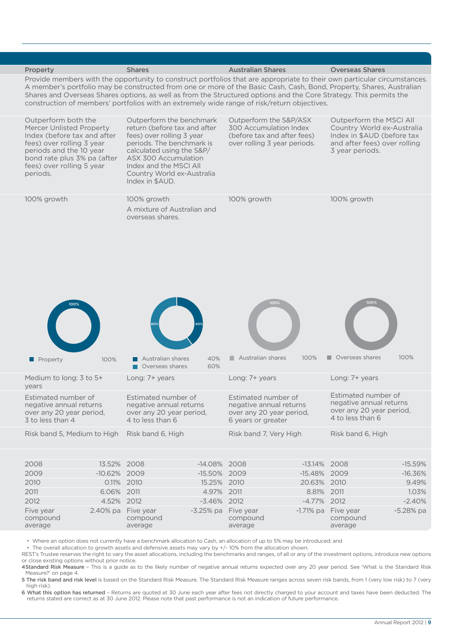

• Where an option does not currently have a benchmark allocation to Cash, an allocation of up to 5% may be introduced; and

• The overall allocation to growth assets and defensive assets may vary by +/- 10% from the allocation shown.

REST's Trustee reserves the right to vary the asset allocations, including the benchmarks and ranges, of all or any of the investment options, introduce new options or close existing options without prior notice.

4 Standard Risk Measure - This is a guide as to the likely number of negative annual returns expected over any 20 year period. See 'What is the Standard Risk Measure?' on page 4.

5 The risk band and risk level is based on the Standard Risk Measure. The Standard Risk Measure ranges across seven risk bands, from 1 (very low risk) to 7 (very high risk).

6 What this option has returned - Returns are quoted at 30 June each year after fees not directly charged to your account and taxes have been deducted. The returns stated are correct as at 30 June 2012. Please note that past performance is not an indication of future performance.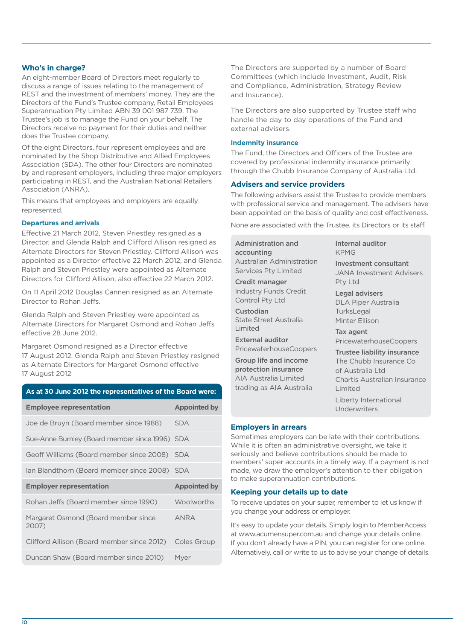### **Who's in charge?**

An eight-member Board of Directors meet regularly to discuss a range of issues relating to the management of REST and the investment of members' money. They are the Directors of the Fund's Trustee company, Retail Employees Superannuation Pty Limited ABN 39 001 987 739. The Trustee's job is to manage the Fund on your behalf. The Directors receive no payment for their duties and neither does the Trustee company.

Of the eight Directors, four represent employees and are nominated by the Shop Distributive and Allied Employees Association (SDA). The other four Directors are nominated by and represent employers, including three major employers participating in REST, and the Australian National Retailers Association (ANRA).

This means that employees and employers are equally represented.

### **Departures and arrivals**

Effective 21 March 2012, Steven Priestley resigned as a Director, and Glenda Ralph and Clifford Allison resigned as Alternate Directors for Steven Priestley. Clifford Allison was appointed as a Director effective 22 March 2012, and Glenda Ralph and Steven Priestley were appointed as Alternate Directors for Clifford Allison, also effective 22 March 2012.

On 11 April 2012 Douglas Cannen resigned as an Alternate Director to Rohan Jeffs.

Glenda Ralph and Steven Priestley were appointed as Alternate Directors for Margaret Osmond and Rohan Jeffs effective 28 June 2012.

Margaret Osmond resigned as a Director effective 17 August 2012. Glenda Ralph and Steven Priestley resigned as Alternate Directors for Margaret Osmond effective 17 August 2012

| As at 30 June 2012 the representatives of the Board were: |                     |
|-----------------------------------------------------------|---------------------|
| <b>Employee representation</b>                            | <b>Appointed by</b> |
| Joe de Bruyn (Board member since 1988)                    | <b>SDA</b>          |
| Sue-Anne Burnley (Board member since 1996) SDA            |                     |
| Geoff Williams (Board member since 2008) SDA              |                     |
| lan Blandthorn (Board member since 2008) SDA              |                     |
| <b>Employer representation</b>                            | <b>Appointed by</b> |
| Rohan Jeffs (Board member since 1990)                     | Woolworths          |
| Margaret Osmond (Board member since<br>2007)              | <b>ANRA</b>         |
| Clifford Allison (Board member since 2012)                | Coles Group         |
| Duncan Shaw (Board member since 2010)                     | Myer                |

The Directors are supported by a number of Board Committees (which include Investment, Audit, Risk and Compliance, Administration, Strategy Review and Insurance).

The Directors are also supported by Trustee staff who handle the day to day operations of the Fund and external advisers.

### **Indemnity insurance**

The Fund, the Directors and Officers of the Trustee are covered by professional indemnity insurance primarily through the Chubb Insurance Company of Australia Ltd.

### **Advisers and service providers**

The following advisers assist the Trustee to provide members with professional service and management. The advisers have been appointed on the basis of quality and cost effectiveness.

None are associated with the Trustee, its Directors or its staff.

Administration and accounting Australian Administration Services Pty Limited

Credit manager Industry Funds Credit Control Pty Ltd

Custodian State Street Australia Limited

External auditor PricewaterhouseCoopers

Group life and income protection insurance AIA Australia Limited trading as AIA Australia Internal auditor KPMG

Investment consultant JANA Investment Advisers Pty Ltd

Legal advisers DLA Piper Australia **TurksLegal** Minter Ellison

Tax agent PricewaterhouseCoopers

Trustee liability insurance The Chubb Insurance Co of Australia Ltd Chartis Australian Insurance Limited

Liberty International **Underwriters** 

### **Employers in arrears**

Sometimes employers can be late with their contributions. While it is often an administrative oversight, we take it seriously and believe contributions should be made to members' super accounts in a timely way. If a payment is not made, we draw the employer's attention to their obligation to make superannuation contributions.

#### **Keeping your details up to date**

To receive updates on your super, remember to let us know if you change your address or employer.

It's easy to update your details. Simply login to MemberAccess at www.acumensuper.com.au and change your details online. If you don't already have a PIN, you can register for one online. Alternatively, call or write to us to advise your change of details.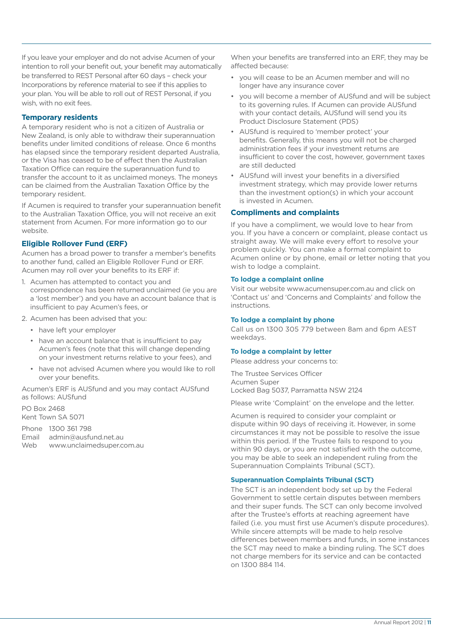If you leave your employer and do not advise Acumen of your intention to roll your benefit out, your benefit may automatically be transferred to REST Personal after 60 days – check your Incorporations by reference material to see if this applies to your plan. You will be able to roll out of REST Personal, if you wish, with no exit fees.

### **Temporary residents**

A temporary resident who is not a citizen of Australia or New Zealand, is only able to withdraw their superannuation benefits under limited conditions of release. Once 6 months has elapsed since the temporary resident departed Australia, or the Visa has ceased to be of effect then the Australian Taxation Office can require the superannuation fund to transfer the account to it as unclaimed moneys. The moneys can be claimed from the Australian Taxation Office by the temporary resident.

If Acumen is required to transfer your superannuation benefit to the Australian Taxation Office, you will not receive an exit statement from Acumen. For more information go to our website.

### **Eligible Rollover Fund (ERF)**

Acumen has a broad power to transfer a member's benefits to another fund, called an Eligible Rollover Fund or ERF. Acumen may roll over your benefits to its ERF if:

- 1. Acumen has attempted to contact you and correspondence has been returned unclaimed (ie you are a 'lost member') and you have an account balance that is insufficient to pay Acumen's fees, or
- 2. Acumen has been advised that you:
	- have left your employer
	- have an account balance that is insufficient to pay Acumen's fees (note that this will change depending on your investment returns relative to your fees), and
	- have not advised Acumen where you would like to roll over your benefits.

Acumen's ERF is AUSfund and you may contact AUSfund as follows: AUSfund

PO Box 2468 Kent Town SA 5071

|     | Phone 1300 361 798         |
|-----|----------------------------|
|     | Email admin@ausfund.net.au |
| Web | www.unclaimedsuper.com.au  |

When your benefits are transferred into an ERF, they may be affected because:

- you will cease to be an Acumen member and will no longer have any insurance cover
- you will become a member of AUSfund and will be subject to its governing rules. If Acumen can provide AUSfund with your contact details, AUSfund will send you its Product Disclosure Statement (PDS)
- AUSfund is required to 'member protect' your benefits. Generally, this means you will not be charged administration fees if your investment returns are insufficient to cover the cost, however, government taxes are still deducted
- AUSfund will invest your benefits in a diversified investment strategy, which may provide lower returns than the investment option(s) in which your account is invested in Acumen.

### **Compliments and complaints**

If you have a compliment, we would love to hear from you. If you have a concern or complaint, please contact us straight away. We will make every effort to resolve your problem quickly. You can make a formal complaint to Acumen online or by phone, email or letter noting that you wish to lodge a complaint.

### **To lodge a complaint online**

Visit our website www.acumensuper.com.au and click on 'Contact us' and 'Concerns and Complaints' and follow the instructions.

### **To lodge a complaint by phone**

Call us on 1300 305 779 between 8am and 6pm AEST weekdays.

#### **To lodge a complaint by letter**

Please address your concerns to:

The Trustee Services Officer Acumen Super Locked Bag 5037, Parramatta NSW 2124

Please write 'Complaint' on the envelope and the letter.

Acumen is required to consider your complaint or dispute within 90 days of receiving it. However, in some circumstances it may not be possible to resolve the issue within this period. If the Trustee fails to respond to you within 90 days, or you are not satisfied with the outcome, you may be able to seek an independent ruling from the Superannuation Complaints Tribunal (SCT).

### **Superannuation Complaints Tribunal (SCT)**

The SCT is an independent body set up by the Federal Government to settle certain disputes between members and their super funds. The SCT can only become involved after the Trustee's efforts at reaching agreement have failed (i.e. you must first use Acumen's dispute procedures). While sincere attempts will be made to help resolve differences between members and funds, in some instances the SCT may need to make a binding ruling. The SCT does not charge members for its service and can be contacted on 1300 884 114.